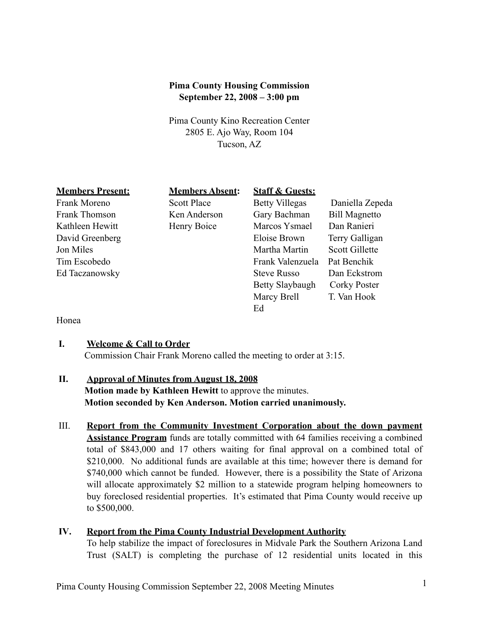## **Pima County Housing Commission September 22, 2008 – 3:00 pm**

Pima County Kino Recreation Center 2805 E. Ajo Way, Room 104 Tucson, AZ

# **Members Present: Members Absent: Staff & Guests:** Frank Moreno Scott Place Betty Villegas Daniella Zepeda Frank Thomson Ken Anderson Gary Bachman Bill Magnetto Kathleen Hewitt Henry Boice Marcos Ysmael Dan Ranieri David Greenberg Eloise Brown Terry Galligan Jon Miles **Martin** Scott Gillette Tim Escobedo Frank Valenzuela Pat Benchik Ed Taczanowsky Steve Russo Dan Eckstrom Betty Slaybaugh Corky Poster Marcy Brell T. Van Hook Ed

#### Honea

#### **I. Welcome & Call to Order**

Commission Chair Frank Moreno called the meeting to order at 3:15.

### **II. Approval of Minutes from August 18, 2008**

**Motion made by Kathleen Hewitt** to approve the minutes. **Motion seconded by Ken Anderson. Motion carried unanimously.**

III. **Report from the Community Investment Corporation about the down payment Assistance Program** funds are totally committed with 64 families receiving a combined total of \$843,000 and 17 others waiting for final approval on a combined total of \$210,000. No additional funds are available at this time; however there is demand for \$740,000 which cannot be funded. However, there is a possibility the State of Arizona will allocate approximately \$2 million to a statewide program helping homeowners to buy foreclosed residential properties. It's estimated that Pima County would receive up to \$500,000.

## **IV. Report from the Pima County Industrial Development Authority**

To help stabilize the impact of foreclosures in Midvale Park the Southern Arizona Land Trust (SALT) is completing the purchase of 12 residential units located in this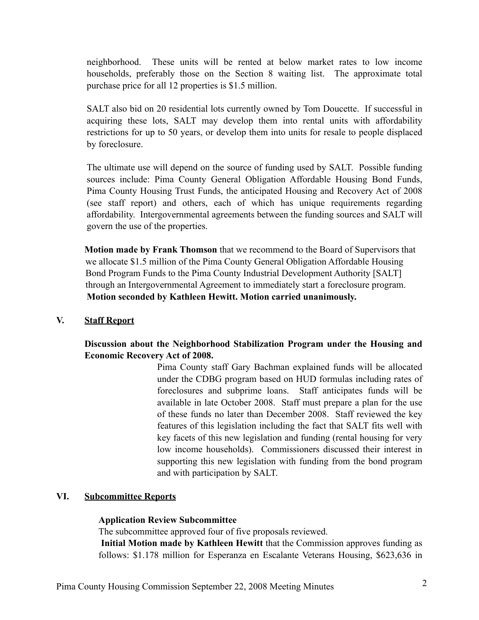neighborhood. These units will be rented at below market rates to low income households, preferably those on the Section 8 waiting list. The approximate total purchase price for all 12 properties is \$1.5 million.

SALT also bid on 20 residential lots currently owned by Tom Doucette. If successful in acquiring these lots, SALT may develop them into rental units with affordability restrictions for up to 50 years, or develop them into units for resale to people displaced by foreclosure.

The ultimate use will depend on the source of funding used by SALT. Possible funding sources include: Pima County General Obligation Affordable Housing Bond Funds, Pima County Housing Trust Funds, the anticipated Housing and Recovery Act of 2008 (see staff report) and others, each of which has unique requirements regarding affordability. Intergovernmental agreements between the funding sources and SALT will govern the use of the properties.

**Motion made by Frank Thomson** that we recommend to the Board of Supervisors that we allocate \$1.5 million of the Pima County General Obligation Affordable Housing Bond Program Funds to the Pima County Industrial Development Authority [SALT] through an Intergovernmental Agreement to immediately start a foreclosure program. **Motion seconded by Kathleen Hewitt. Motion carried unanimously.**

## **V. Staff Report**

**Discussion about the Neighborhood Stabilization Program under the Housing and Economic Recovery Act of 2008.** 

> Pima County staff Gary Bachman explained funds will be allocated under the CDBG program based on HUD formulas including rates of foreclosures and subprime loans. Staff anticipates funds will be available in late October 2008. Staff must prepare a plan for the use of these funds no later than December 2008. Staff reviewed the key features of this legislation including the fact that SALT fits well with key facets of this new legislation and funding (rental housing for very low income households). Commissioners discussed their interest in supporting this new legislation with funding from the bond program and with participation by SALT.

## **VI. Subcommittee Reports**

#### **Application Review Subcommittee**

The subcommittee approved four of five proposals reviewed. **Initial Motion made by Kathleen Hewitt** that the Commission approves funding as follows: \$1.178 million for Esperanza en Escalante Veterans Housing, \$623,636 in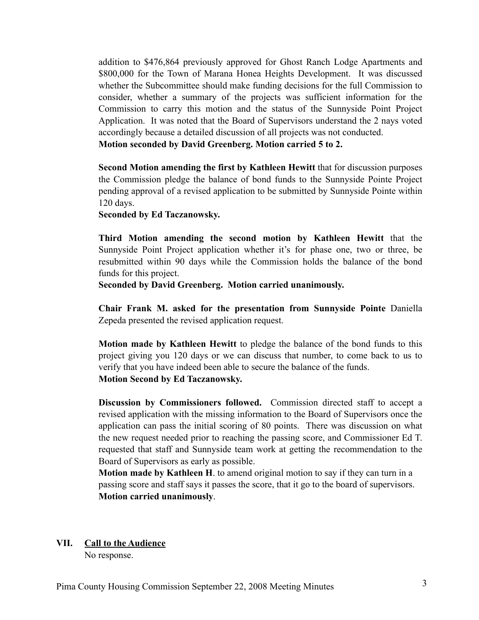addition to \$476,864 previously approved for Ghost Ranch Lodge Apartments and \$800,000 for the Town of Marana Honea Heights Development. It was discussed whether the Subcommittee should make funding decisions for the full Commission to consider, whether a summary of the projects was sufficient information for the Commission to carry this motion and the status of the Sunnyside Point Project Application. It was noted that the Board of Supervisors understand the 2 nays voted accordingly because a detailed discussion of all projects was not conducted.

**Motion seconded by David Greenberg. Motion carried 5 to 2.**

**Second Motion amending the first by Kathleen Hewitt** that for discussion purposes the Commission pledge the balance of bond funds to the Sunnyside Pointe Project pending approval of a revised application to be submitted by Sunnyside Pointe within 120 days.

**Seconded by Ed Taczanowsky.**

**Third Motion amending the second motion by Kathleen Hewitt** that the Sunnyside Point Project application whether it's for phase one, two or three, be resubmitted within 90 days while the Commission holds the balance of the bond funds for this project.

**Seconded by David Greenberg. Motion carried unanimously.**

**Chair Frank M. asked for the presentation from Sunnyside Pointe** Daniella Zepeda presented the revised application request.

**Motion made by Kathleen Hewitt** to pledge the balance of the bond funds to this project giving you 120 days or we can discuss that number, to come back to us to verify that you have indeed been able to secure the balance of the funds. **Motion Second by Ed Taczanowsky.**

**Discussion by Commissioners followed.** Commission directed staff to accept a revised application with the missing information to the Board of Supervisors once the application can pass the initial scoring of 80 points. There was discussion on what the new request needed prior to reaching the passing score, and Commissioner Ed T. requested that staff and Sunnyside team work at getting the recommendation to the Board of Supervisors as early as possible.

**Motion made by Kathleen H**. to amend original motion to say if they can turn in a passing score and staff says it passes the score, that it go to the board of supervisors. **Motion carried unanimously**.

#### **VII. Call to the Audience**

No response.